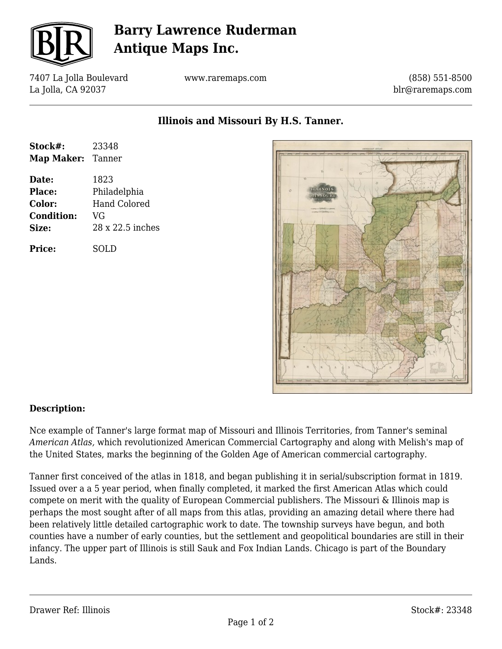

## **Barry Lawrence Ruderman Antique Maps Inc.**

7407 La Jolla Boulevard La Jolla, CA 92037

www.raremaps.com

(858) 551-8500 blr@raremaps.com

**Illinois and Missouri By H.S. Tanner.**

| Stock#:           | 23348               |
|-------------------|---------------------|
| Map Maker: Tanner |                     |
| Date:             | 1823                |
| <b>Place:</b>     | Philadelphia        |
| Color:            | <b>Hand Colored</b> |
| <b>Condition:</b> | VG                  |
| Size:             | 28 x 22.5 inches    |
| Price:            | SOLD                |



## **Description:**

Nce example of Tanner's large format map of Missouri and Illinois Territories, from Tanner's seminal *American Atlas,* which revolutionized American Commercial Cartography and along with Melish's map of the United States, marks the beginning of the Golden Age of American commercial cartography.

Tanner first conceived of the atlas in 1818, and began publishing it in serial/subscription format in 1819. Issued over a a 5 year period, when finally completed, it marked the first American Atlas which could compete on merit with the quality of European Commercial publishers. The Missouri & Illinois map is perhaps the most sought after of all maps from this atlas, providing an amazing detail where there had been relatively little detailed cartographic work to date. The township surveys have begun, and both counties have a number of early counties, but the settlement and geopolitical boundaries are still in their infancy. The upper part of Illinois is still Sauk and Fox Indian Lands. Chicago is part of the Boundary Lands.